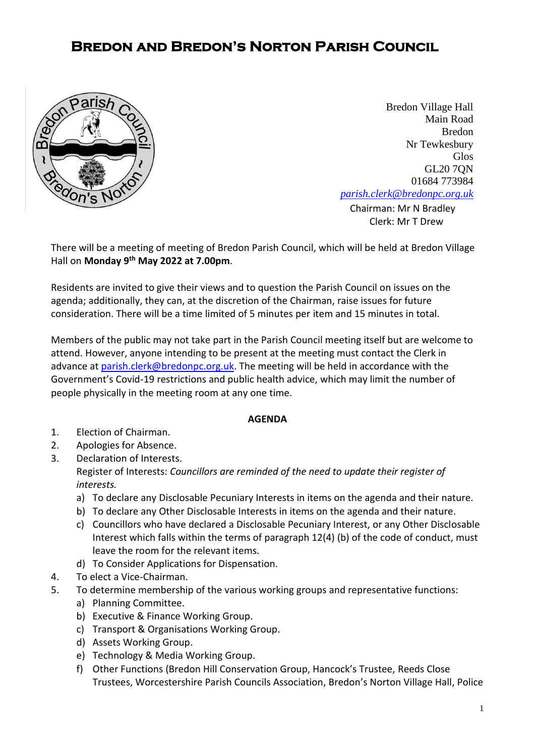## **Bredon and Bredon's Norton Parish Council**



**[Chairman:](mailto:parish.clerk@bredonpc.org.uk.com) Mr N Bradley** Bredon Village Hall Main Road Bredon Nr Tewkesbury Glos GL20 7QN 01684 773984 *[parish.clerk@bredonpc.org.uk](mailto:parish.clerk@bredonpc.org.uk.com)*

Clerk: Mr T Drew

There will be a meeting of meeting of Bredon Parish Council, which will be held at Bredon Village Hall on **Monday 9 th May 2022 at 7.00pm**.

Residents are invited to give their views and to question the Parish Council on issues on the agenda; additionally, they can, at the discretion of the Chairman, raise issues for future consideration. There will be a time limited of 5 minutes per item and 15 minutes in total.

Members of the public may not take part in the Parish Council meeting itself but are welcome to attend. However, anyone intending to be present at the meeting must contact the Clerk in advance at [parish.clerk@bredonpc.org.uk.](mailto:parish.clerk@bredonpc.org.uk) The meeting will be held in accordance with the Government's Covid-19 restrictions and public health advice, which may limit the number of people physically in the meeting room at any one time.

## **AGENDA**

- 1. Election of Chairman.
- 2. Apologies for Absence.
- 3. Declaration of Interests.

Register of Interests: *Councillors are reminded of the need to update their register of interests.* 

- a) To declare any Disclosable Pecuniary Interests in items on the agenda and their nature.
- b) To declare any Other Disclosable Interests in items on the agenda and their nature.
- c) Councillors who have declared a Disclosable Pecuniary Interest, or any Other Disclosable Interest which falls within the terms of paragraph 12(4) (b) of the code of conduct, must leave the room for the relevant items.
- d) To Consider Applications for Dispensation.
- 4. To elect a Vice-Chairman.
- 5. To determine membership of the various working groups and representative functions:
	- a) Planning Committee.
	- b) Executive & Finance Working Group.
	- c) Transport & Organisations Working Group.
	- d) Assets Working Group.
	- e) Technology & Media Working Group.
	- f) Other Functions (Bredon Hill Conservation Group, Hancock's Trustee, Reeds Close Trustees, Worcestershire Parish Councils Association, Bredon's Norton Village Hall, Police